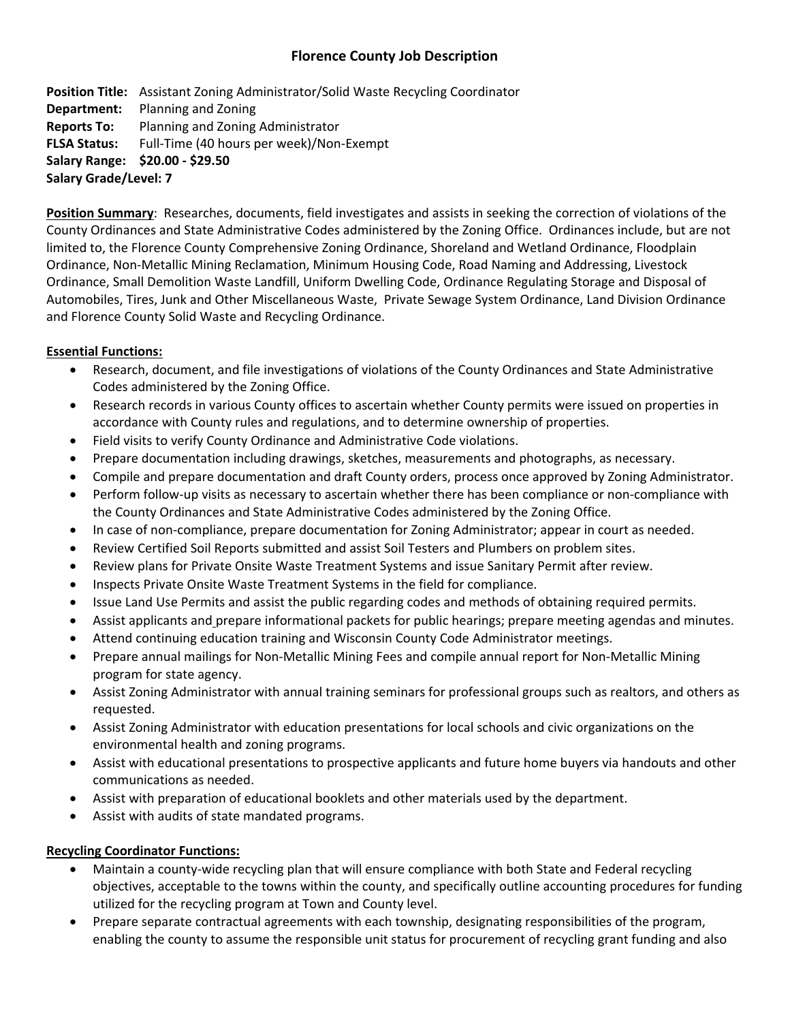# **Florence County Job Description**

**Position Title:** Assistant Zoning Administrator/Solid Waste Recycling Coordinator **Department:** Planning and Zoning **Reports To:** Planning and Zoning Administrator **FLSA Status:** Full‐Time (40 hours per week)/Non‐Exempt **Salary Range: \$20.00 ‐ \$29.50 Salary Grade/Level: 7** 

**Position Summary**: Researches, documents, field investigates and assists in seeking the correction of violations of the County Ordinances and State Administrative Codes administered by the Zoning Office. Ordinances include, but are not limited to, the Florence County Comprehensive Zoning Ordinance, Shoreland and Wetland Ordinance, Floodplain Ordinance, Non‐Metallic Mining Reclamation, Minimum Housing Code, Road Naming and Addressing, Livestock Ordinance, Small Demolition Waste Landfill, Uniform Dwelling Code, Ordinance Regulating Storage and Disposal of Automobiles, Tires, Junk and Other Miscellaneous Waste, Private Sewage System Ordinance, Land Division Ordinance and Florence County Solid Waste and Recycling Ordinance.

#### **Essential Functions:**

- Research, document, and file investigations of violations of the County Ordinances and State Administrative Codes administered by the Zoning Office.
- Research records in various County offices to ascertain whether County permits were issued on properties in accordance with County rules and regulations, and to determine ownership of properties.
- Field visits to verify County Ordinance and Administrative Code violations.
- Prepare documentation including drawings, sketches, measurements and photographs, as necessary.
- Compile and prepare documentation and draft County orders, process once approved by Zoning Administrator.
- Perform follow-up visits as necessary to ascertain whether there has been compliance or non-compliance with the County Ordinances and State Administrative Codes administered by the Zoning Office.
- In case of non-compliance, prepare documentation for Zoning Administrator; appear in court as needed.
- Review Certified Soil Reports submitted and assist Soil Testers and Plumbers on problem sites.
- Review plans for Private Onsite Waste Treatment Systems and issue Sanitary Permit after review.
- Inspects Private Onsite Waste Treatment Systems in the field for compliance.
- Issue Land Use Permits and assist the public regarding codes and methods of obtaining required permits.
- Assist applicants and prepare informational packets for public hearings; prepare meeting agendas and minutes.
- Attend continuing education training and Wisconsin County Code Administrator meetings.
- Prepare annual mailings for Non‐Metallic Mining Fees and compile annual report for Non‐Metallic Mining program for state agency.
- Assist Zoning Administrator with annual training seminars for professional groups such as realtors, and others as requested.
- Assist Zoning Administrator with education presentations for local schools and civic organizations on the environmental health and zoning programs.
- Assist with educational presentations to prospective applicants and future home buyers via handouts and other communications as needed.
- Assist with preparation of educational booklets and other materials used by the department.
- Assist with audits of state mandated programs.

#### **Recycling Coordinator Functions:**

- Maintain a county-wide recycling plan that will ensure compliance with both State and Federal recycling objectives, acceptable to the towns within the county, and specifically outline accounting procedures for funding utilized for the recycling program at Town and County level.
- Prepare separate contractual agreements with each township, designating responsibilities of the program, enabling the county to assume the responsible unit status for procurement of recycling grant funding and also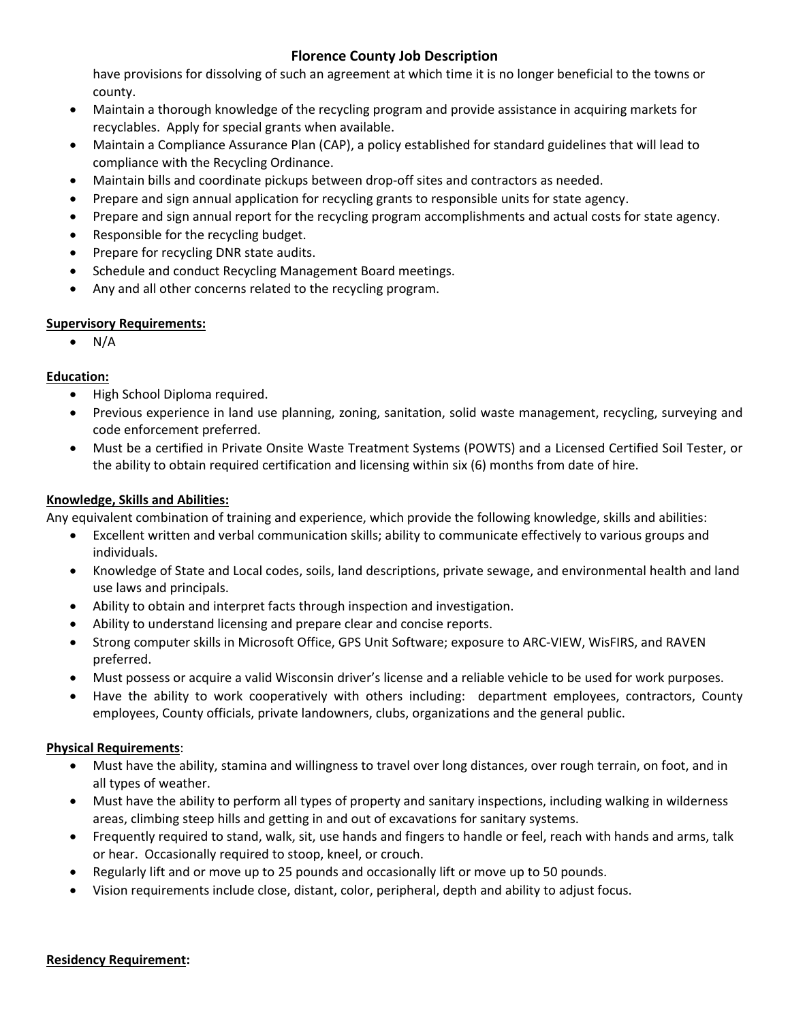# **Florence County Job Description**

have provisions for dissolving of such an agreement at which time it is no longer beneficial to the towns or county.

- Maintain a thorough knowledge of the recycling program and provide assistance in acquiring markets for recyclables. Apply for special grants when available.
- Maintain a Compliance Assurance Plan (CAP), a policy established for standard guidelines that will lead to compliance with the Recycling Ordinance.
- Maintain bills and coordinate pickups between drop‐off sites and contractors as needed.
- Prepare and sign annual application for recycling grants to responsible units for state agency.
- Prepare and sign annual report for the recycling program accomplishments and actual costs for state agency.
- Responsible for the recycling budget.
- Prepare for recycling DNR state audits.
- Schedule and conduct Recycling Management Board meetings.
- Any and all other concerns related to the recycling program.

## **Supervisory Requirements:**

 $\bullet$  N/A

## **Education:**

- High School Diploma required.
- Previous experience in land use planning, zoning, sanitation, solid waste management, recycling, surveying and code enforcement preferred.
- Must be a certified in Private Onsite Waste Treatment Systems (POWTS) and a Licensed Certified Soil Tester, or the ability to obtain required certification and licensing within six (6) months from date of hire.

## **Knowledge, Skills and Abilities:**

Any equivalent combination of training and experience, which provide the following knowledge, skills and abilities:

- Excellent written and verbal communication skills; ability to communicate effectively to various groups and individuals.
- Knowledge of State and Local codes, soils, land descriptions, private sewage, and environmental health and land use laws and principals.
- Ability to obtain and interpret facts through inspection and investigation.
- Ability to understand licensing and prepare clear and concise reports.
- Strong computer skills in Microsoft Office, GPS Unit Software; exposure to ARC‐VIEW, WisFIRS, and RAVEN preferred.
- Must possess or acquire a valid Wisconsin driver's license and a reliable vehicle to be used for work purposes.
- Have the ability to work cooperatively with others including: department employees, contractors, County employees, County officials, private landowners, clubs, organizations and the general public.

## **Physical Requirements**:

- Must have the ability, stamina and willingness to travel over long distances, over rough terrain, on foot, and in all types of weather.
- Must have the ability to perform all types of property and sanitary inspections, including walking in wilderness areas, climbing steep hills and getting in and out of excavations for sanitary systems.
- Frequently required to stand, walk, sit, use hands and fingers to handle or feel, reach with hands and arms, talk or hear. Occasionally required to stoop, kneel, or crouch.
- Regularly lift and or move up to 25 pounds and occasionally lift or move up to 50 pounds.
- Vision requirements include close, distant, color, peripheral, depth and ability to adjust focus.